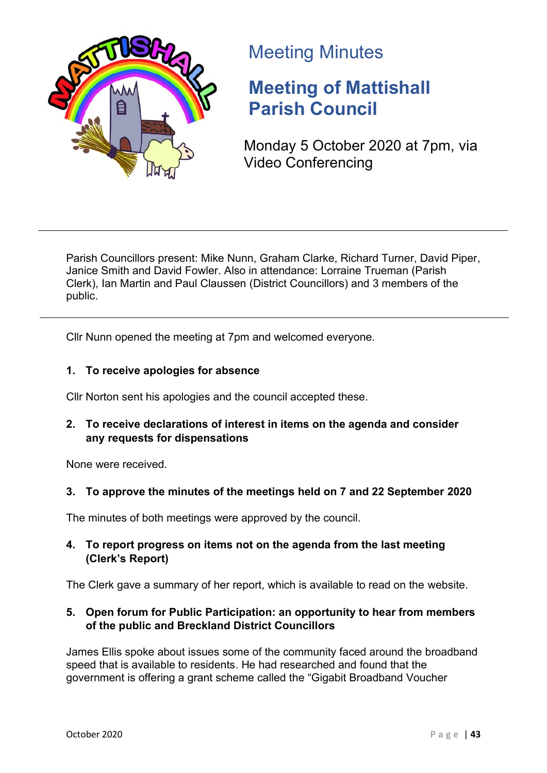

# Meeting Minutes

# **Meeting of Mattishall Parish Council**

Monday 5 October 2020 at 7pm, via Video Conferencing

Parish Councillors present: Mike Nunn, Graham Clarke, Richard Turner, David Piper, Janice Smith and David Fowler. Also in attendance: Lorraine Trueman (Parish Clerk), Ian Martin and Paul Claussen (District Councillors) and 3 members of the public.

Cllr Nunn opened the meeting at 7pm and welcomed everyone.

# **1. To receive apologies for absence**

Cllr Norton sent his apologies and the council accepted these.

**2. To receive declarations of interest in items on the agenda and consider any requests for dispensations**

None were received.

# **3. To approve the minutes of the meetings held on 7 and 22 September 2020**

The minutes of both meetings were approved by the council.

**4. To report progress on items not on the agenda from the last meeting (Clerk's Report)**

The Clerk gave a summary of her report, which is available to read on the website.

# **5. Open forum for Public Participation: an opportunity to hear from members of the public and Breckland District Councillors**

James Ellis spoke about issues some of the community faced around the broadband speed that is available to residents. He had researched and found that the government is offering a grant scheme called the "Gigabit Broadband Voucher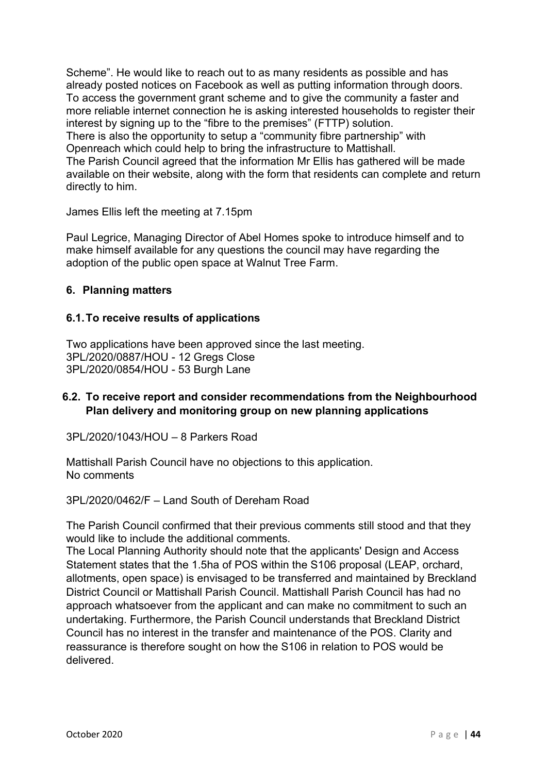Scheme". He would like to reach out to as many residents as possible and has already posted notices on Facebook as well as putting information through doors. To access the government grant scheme and to give the community a faster and more reliable internet connection he is asking interested households to register their interest by signing up to the "fibre to the premises" (FTTP) solution. There is also the opportunity to setup a "community fibre partnership" with Openreach which could help to bring the infrastructure to Mattishall. The Parish Council agreed that the information Mr Ellis has gathered will be made available on their website, along with the form that residents can complete and return directly to him.

James Ellis left the meeting at 7.15pm

Paul Legrice, Managing Director of Abel Homes spoke to introduce himself and to make himself available for any questions the council may have regarding the adoption of the public open space at Walnut Tree Farm.

## **6. Planning matters**

#### **6.1.To receive results of applications**

Two applications have been approved since the last meeting. 3PL/2020/0887/HOU - 12 Gregs Close 3PL/2020/0854/HOU - 53 Burgh Lane

## **6.2. To receive report and consider recommendations from the Neighbourhood Plan delivery and monitoring group on new planning applications**

3PL/2020/1043/HOU – 8 Parkers Road

Mattishall Parish Council have no objections to this application. No comments

3PL/2020/0462/F – Land South of Dereham Road

The Parish Council confirmed that their previous comments still stood and that they would like to include the additional comments.

The Local Planning Authority should note that the applicants' Design and Access Statement states that the 1.5ha of POS within the S106 proposal (LEAP, orchard, allotments, open space) is envisaged to be transferred and maintained by Breckland District Council or Mattishall Parish Council. Mattishall Parish Council has had no approach whatsoever from the applicant and can make no commitment to such an undertaking. Furthermore, the Parish Council understands that Breckland District Council has no interest in the transfer and maintenance of the POS. Clarity and reassurance is therefore sought on how the S106 in relation to POS would be delivered.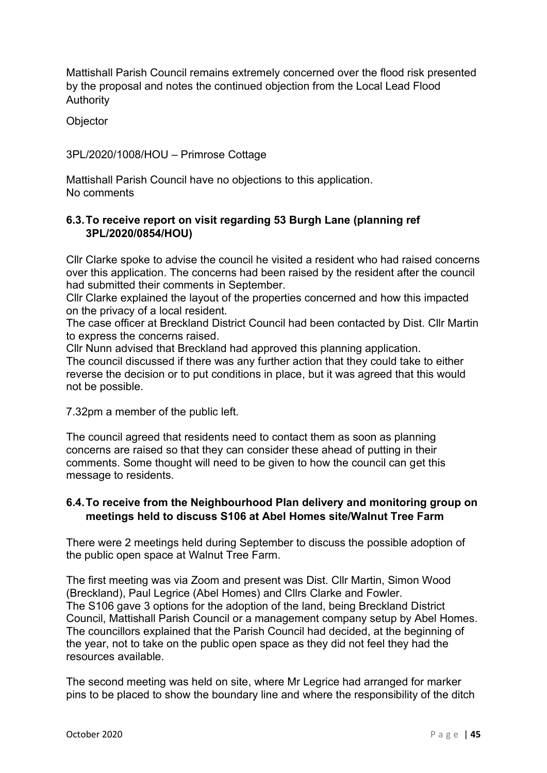Mattishall Parish Council remains extremely concerned over the flood risk presented by the proposal and notes the continued objection from the Local Lead Flood Authority

**Objector** 

3PL/2020/1008/HOU – Primrose Cottage

Mattishall Parish Council have no objections to this application. No comments

# **6.3.To receive report on visit regarding 53 Burgh Lane (planning ref 3PL/2020/0854/HOU)**

Cllr Clarke spoke to advise the council he visited a resident who had raised concerns over this application. The concerns had been raised by the resident after the council had submitted their comments in September.

Cllr Clarke explained the layout of the properties concerned and how this impacted on the privacy of a local resident.

The case officer at Breckland District Council had been contacted by Dist. Cllr Martin to express the concerns raised.

Cllr Nunn advised that Breckland had approved this planning application.

The council discussed if there was any further action that they could take to either reverse the decision or to put conditions in place, but it was agreed that this would not be possible.

7.32pm a member of the public left.

The council agreed that residents need to contact them as soon as planning concerns are raised so that they can consider these ahead of putting in their comments. Some thought will need to be given to how the council can get this message to residents.

#### **6.4.To receive from the Neighbourhood Plan delivery and monitoring group on meetings held to discuss S106 at Abel Homes site/Walnut Tree Farm**

There were 2 meetings held during September to discuss the possible adoption of the public open space at Walnut Tree Farm.

The first meeting was via Zoom and present was Dist. Cllr Martin, Simon Wood (Breckland), Paul Legrice (Abel Homes) and Cllrs Clarke and Fowler. The S106 gave 3 options for the adoption of the land, being Breckland District Council, Mattishall Parish Council or a management company setup by Abel Homes. The councillors explained that the Parish Council had decided, at the beginning of the year, not to take on the public open space as they did not feel they had the resources available.

The second meeting was held on site, where Mr Legrice had arranged for marker pins to be placed to show the boundary line and where the responsibility of the ditch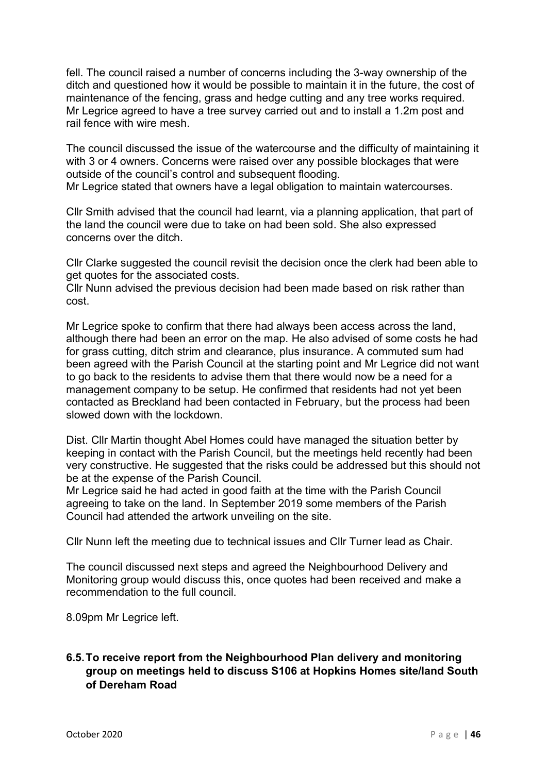fell. The council raised a number of concerns including the 3-way ownership of the ditch and questioned how it would be possible to maintain it in the future, the cost of maintenance of the fencing, grass and hedge cutting and any tree works required. Mr Legrice agreed to have a tree survey carried out and to install a 1.2m post and rail fence with wire mesh.

The council discussed the issue of the watercourse and the difficulty of maintaining it with 3 or 4 owners. Concerns were raised over any possible blockages that were outside of the council's control and subsequent flooding.

Mr Legrice stated that owners have a legal obligation to maintain watercourses.

Cllr Smith advised that the council had learnt, via a planning application, that part of the land the council were due to take on had been sold. She also expressed concerns over the ditch.

Cllr Clarke suggested the council revisit the decision once the clerk had been able to get quotes for the associated costs.

Cllr Nunn advised the previous decision had been made based on risk rather than cost.

Mr Legrice spoke to confirm that there had always been access across the land, although there had been an error on the map. He also advised of some costs he had for grass cutting, ditch strim and clearance, plus insurance. A commuted sum had been agreed with the Parish Council at the starting point and Mr Legrice did not want to go back to the residents to advise them that there would now be a need for a management company to be setup. He confirmed that residents had not yet been contacted as Breckland had been contacted in February, but the process had been slowed down with the lockdown.

Dist. Cllr Martin thought Abel Homes could have managed the situation better by keeping in contact with the Parish Council, but the meetings held recently had been very constructive. He suggested that the risks could be addressed but this should not be at the expense of the Parish Council.

Mr Legrice said he had acted in good faith at the time with the Parish Council agreeing to take on the land. In September 2019 some members of the Parish Council had attended the artwork unveiling on the site.

Cllr Nunn left the meeting due to technical issues and Cllr Turner lead as Chair.

The council discussed next steps and agreed the Neighbourhood Delivery and Monitoring group would discuss this, once quotes had been received and make a recommendation to the full council.

8.09pm Mr Legrice left.

# **6.5.To receive report from the Neighbourhood Plan delivery and monitoring group on meetings held to discuss S106 at Hopkins Homes site/land South of Dereham Road**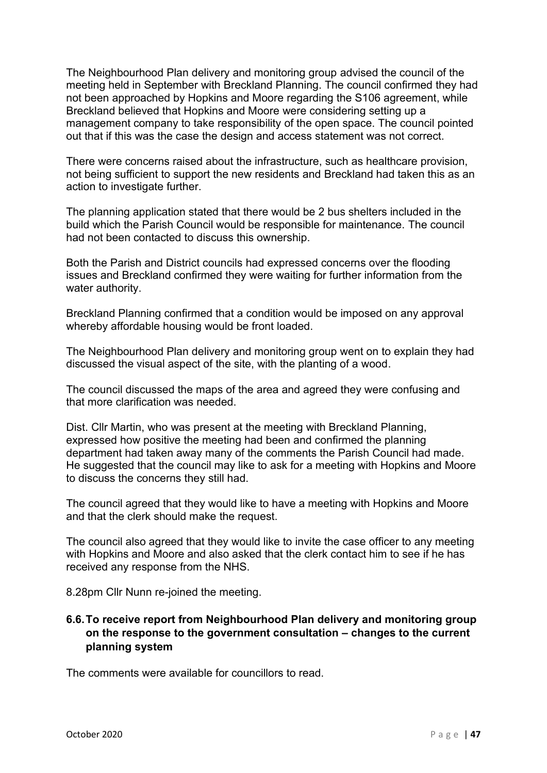The Neighbourhood Plan delivery and monitoring group advised the council of the meeting held in September with Breckland Planning. The council confirmed they had not been approached by Hopkins and Moore regarding the S106 agreement, while Breckland believed that Hopkins and Moore were considering setting up a management company to take responsibility of the open space. The council pointed out that if this was the case the design and access statement was not correct.

There were concerns raised about the infrastructure, such as healthcare provision, not being sufficient to support the new residents and Breckland had taken this as an action to investigate further.

The planning application stated that there would be 2 bus shelters included in the build which the Parish Council would be responsible for maintenance. The council had not been contacted to discuss this ownership.

Both the Parish and District councils had expressed concerns over the flooding issues and Breckland confirmed they were waiting for further information from the water authority.

Breckland Planning confirmed that a condition would be imposed on any approval whereby affordable housing would be front loaded.

The Neighbourhood Plan delivery and monitoring group went on to explain they had discussed the visual aspect of the site, with the planting of a wood.

The council discussed the maps of the area and agreed they were confusing and that more clarification was needed.

Dist. Cllr Martin, who was present at the meeting with Breckland Planning, expressed how positive the meeting had been and confirmed the planning department had taken away many of the comments the Parish Council had made. He suggested that the council may like to ask for a meeting with Hopkins and Moore to discuss the concerns they still had.

The council agreed that they would like to have a meeting with Hopkins and Moore and that the clerk should make the request.

The council also agreed that they would like to invite the case officer to any meeting with Hopkins and Moore and also asked that the clerk contact him to see if he has received any response from the NHS.

8.28pm Cllr Nunn re-joined the meeting.

# **6.6.To receive report from Neighbourhood Plan delivery and monitoring group on the response to the government consultation – changes to the current planning system**

The comments were available for councillors to read.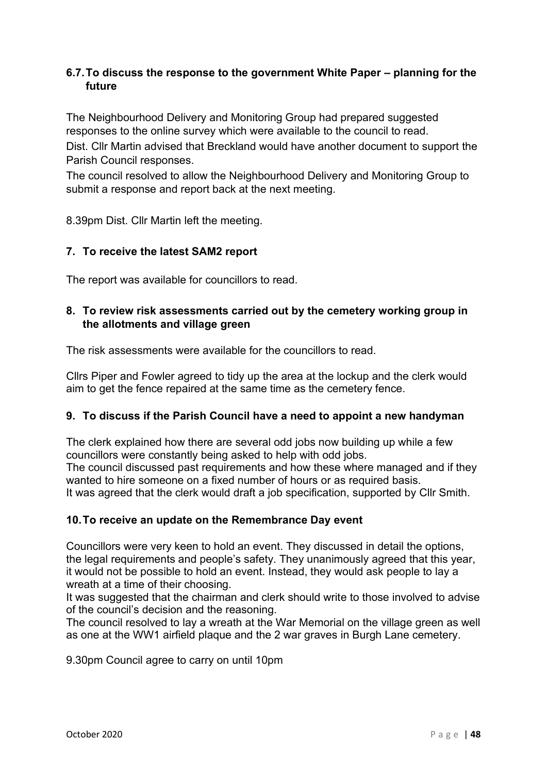# **6.7.To discuss the response to the government White Paper – planning for the future**

The Neighbourhood Delivery and Monitoring Group had prepared suggested responses to the online survey which were available to the council to read.

Dist. Cllr Martin advised that Breckland would have another document to support the Parish Council responses.

The council resolved to allow the Neighbourhood Delivery and Monitoring Group to submit a response and report back at the next meeting.

8.39pm Dist. Cllr Martin left the meeting.

## **7. To receive the latest SAM2 report**

The report was available for councillors to read.

## **8. To review risk assessments carried out by the cemetery working group in the allotments and village green**

The risk assessments were available for the councillors to read.

Cllrs Piper and Fowler agreed to tidy up the area at the lockup and the clerk would aim to get the fence repaired at the same time as the cemetery fence.

#### **9. To discuss if the Parish Council have a need to appoint a new handyman**

The clerk explained how there are several odd jobs now building up while a few councillors were constantly being asked to help with odd jobs. The council discussed past requirements and how these where managed and if they wanted to hire someone on a fixed number of hours or as required basis. It was agreed that the clerk would draft a job specification, supported by Cllr Smith.

#### **10.To receive an update on the Remembrance Day event**

Councillors were very keen to hold an event. They discussed in detail the options, the legal requirements and people's safety. They unanimously agreed that this year, it would not be possible to hold an event. Instead, they would ask people to lay a wreath at a time of their choosing.

It was suggested that the chairman and clerk should write to those involved to advise of the council's decision and the reasoning.

The council resolved to lay a wreath at the War Memorial on the village green as well as one at the WW1 airfield plaque and the 2 war graves in Burgh Lane cemetery.

9.30pm Council agree to carry on until 10pm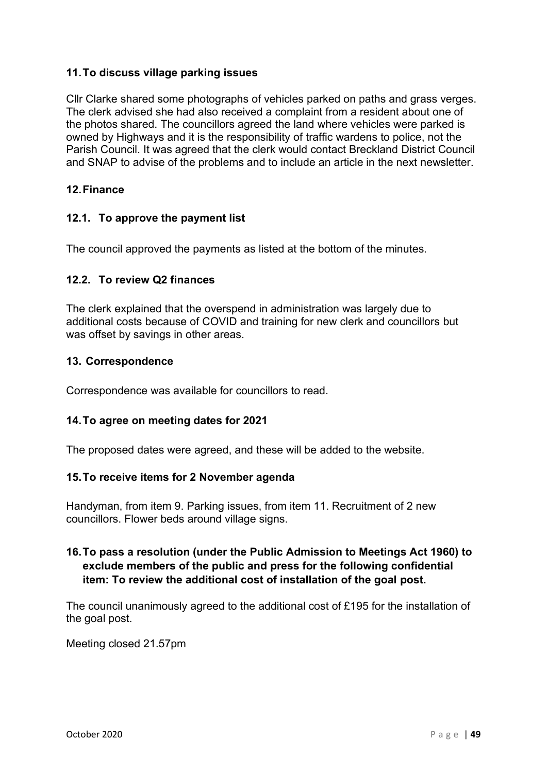## **11.To discuss village parking issues**

Cllr Clarke shared some photographs of vehicles parked on paths and grass verges. The clerk advised she had also received a complaint from a resident about one of the photos shared. The councillors agreed the land where vehicles were parked is owned by Highways and it is the responsibility of traffic wardens to police, not the Parish Council. It was agreed that the clerk would contact Breckland District Council and SNAP to advise of the problems and to include an article in the next newsletter.

#### **12.Finance**

#### **12.1. To approve the payment list**

The council approved the payments as listed at the bottom of the minutes.

#### **12.2. To review Q2 finances**

The clerk explained that the overspend in administration was largely due to additional costs because of COVID and training for new clerk and councillors but was offset by savings in other areas.

#### **13. Correspondence**

Correspondence was available for councillors to read.

#### **14.To agree on meeting dates for 2021**

The proposed dates were agreed, and these will be added to the website.

#### **15.To receive items for 2 November agenda**

Handyman, from item 9. Parking issues, from item 11. Recruitment of 2 new councillors. Flower beds around village signs.

## **16.To pass a resolution (under the Public Admission to Meetings Act 1960) to exclude members of the public and press for the following confidential item: To review the additional cost of installation of the goal post.**

The council unanimously agreed to the additional cost of £195 for the installation of the goal post.

Meeting closed 21.57pm